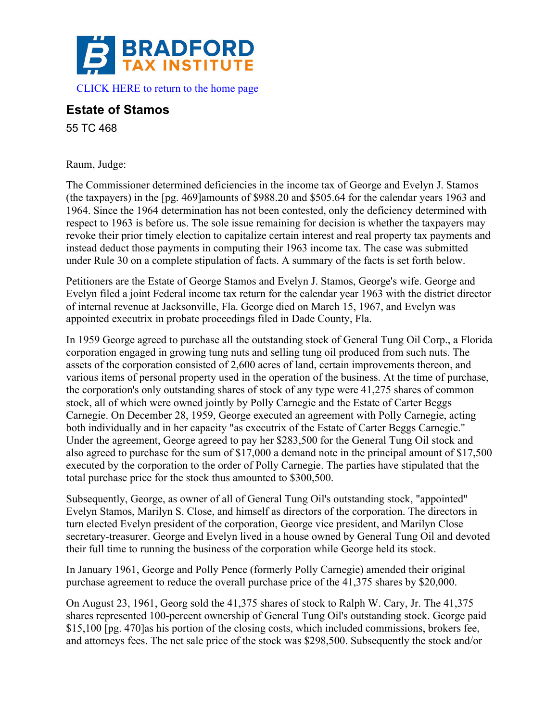

## **Estate of Stamos**

55 TC 468

Raum, Judge:

The Commissioner determined deficiencies in the income tax of George and Evelyn J. Stamos (the taxpayers) in the [pg. 469]amounts of \$988.20 and \$505.64 for the calendar years 1963 and 1964. Since the 1964 determination has not been contested, only the deficiency determined with respect to 1963 is before us. The sole issue remaining for decision is whether the taxpayers may revoke their prior timely election to capitalize certain interest and real property tax payments and instead deduct those payments in computing their 1963 income tax. The case was submitted under Rule 30 on a complete stipulation of facts. A summary of the facts is set forth below.

Petitioners are the Estate of George Stamos and Evelyn J. Stamos, George's wife. George and Evelyn filed a joint Federal income tax return for the calendar year 1963 with the district director of internal revenue at Jacksonville, Fla. George died on March 15, 1967, and Evelyn was appointed executrix in probate proceedings filed in Dade County, Fla.

In 1959 George agreed to purchase all the outstanding stock of General Tung Oil Corp., a Florida corporation engaged in growing tung nuts and selling tung oil produced from such nuts. The assets of the corporation consisted of 2,600 acres of land, certain improvements thereon, and various items of personal property used in the operation of the business. At the time of purchase, the corporation's only outstanding shares of stock of any type were 41,275 shares of common stock, all of which were owned jointly by Polly Carnegie and the Estate of Carter Beggs Carnegie. On December 28, 1959, George executed an agreement with Polly Carnegie, acting both individually and in her capacity "as executrix of the Estate of Carter Beggs Carnegie." Under the agreement, George agreed to pay her \$283,500 for the General Tung Oil stock and also agreed to purchase for the sum of \$17,000 a demand note in the principal amount of \$17,500 executed by the corporation to the order of Polly Carnegie. The parties have stipulated that the total purchase price for the stock thus amounted to \$300,500.

Subsequently, George, as owner of all of General Tung Oil's outstanding stock, "appointed" Evelyn Stamos, Marilyn S. Close, and himself as directors of the corporation. The directors in turn elected Evelyn president of the corporation, George vice president, and Marilyn Close secretary-treasurer. George and Evelyn lived in a house owned by General Tung Oil and devoted their full time to running the business of the corporation while George held its stock.

In January 1961, George and Polly Pence (formerly Polly Carnegie) amended their original purchase agreement to reduce the overall purchase price of the 41,375 shares by \$20,000.

On August 23, 1961, Georg sold the 41,375 shares of stock to Ralph W. Cary, Jr. The 41,375 shares represented 100-percent ownership of General Tung Oil's outstanding stock. George paid \$15,100 [pg. 470]as his portion of the closing costs, which included commissions, brokers fee, and attorneys fees. The net sale price of the stock was \$298,500. Subsequently the stock and/or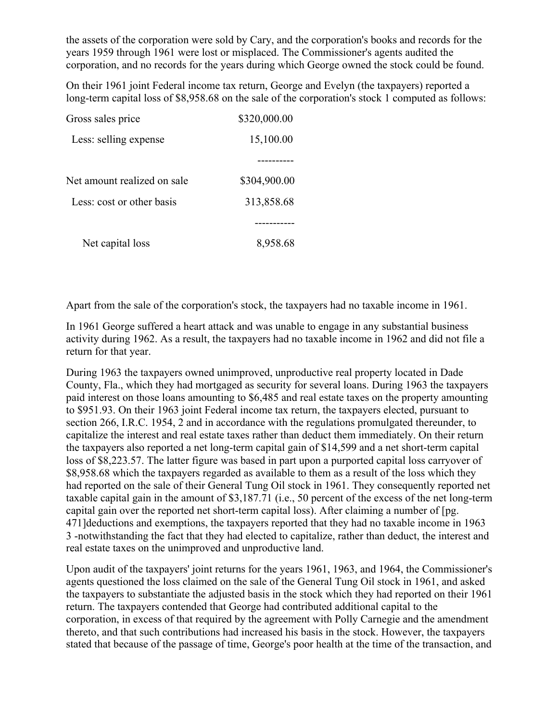the assets of the corporation were sold by Cary, and the corporation's books and records for the years 1959 through 1961 were lost or misplaced. The Commissioner's agents audited the corporation, and no records for the years during which George owned the stock could be found.

On their 1961 joint Federal income tax return, George and Evelyn (the taxpayers) reported a long-term capital loss of \$8,958.68 on the sale of the corporation's stock 1 computed as follows:

| Gross sales price           | \$320,000.00 |
|-----------------------------|--------------|
| Less: selling expense       | 15,100.00    |
|                             |              |
| Net amount realized on sale | \$304,900.00 |
| Less: cost or other basis   | 313,858.68   |
|                             |              |
| Net capital loss            | 8,958.68     |

Apart from the sale of the corporation's stock, the taxpayers had no taxable income in 1961.

In 1961 George suffered a heart attack and was unable to engage in any substantial business activity during 1962. As a result, the taxpayers had no taxable income in 1962 and did not file a return for that year.

During 1963 the taxpayers owned unimproved, unproductive real property located in Dade County, Fla., which they had mortgaged as security for several loans. During 1963 the taxpayers paid interest on those loans amounting to \$6,485 and real estate taxes on the property amounting to \$951.93. On their 1963 joint Federal income tax return, the taxpayers elected, pursuant to section 266, I.R.C. 1954, 2 and in accordance with the regulations promulgated thereunder, to capitalize the interest and real estate taxes rather than deduct them immediately. On their return the taxpayers also reported a net long-term capital gain of \$14,599 and a net short-term capital loss of \$8,223.57. The latter figure was based in part upon a purported capital loss carryover of \$8,958.68 which the taxpayers regarded as available to them as a result of the loss which they had reported on the sale of their General Tung Oil stock in 1961. They consequently reported net taxable capital gain in the amount of \$3,187.71 (i.e., 50 percent of the excess of the net long-term capital gain over the reported net short-term capital loss). After claiming a number of [pg. 471]deductions and exemptions, the taxpayers reported that they had no taxable income in 1963 3 -notwithstanding the fact that they had elected to capitalize, rather than deduct, the interest and real estate taxes on the unimproved and unproductive land.

Upon audit of the taxpayers' joint returns for the years 1961, 1963, and 1964, the Commissioner's agents questioned the loss claimed on the sale of the General Tung Oil stock in 1961, and asked the taxpayers to substantiate the adjusted basis in the stock which they had reported on their 1961 return. The taxpayers contended that George had contributed additional capital to the corporation, in excess of that required by the agreement with Polly Carnegie and the amendment thereto, and that such contributions had increased his basis in the stock. However, the taxpayers stated that because of the passage of time, George's poor health at the time of the transaction, and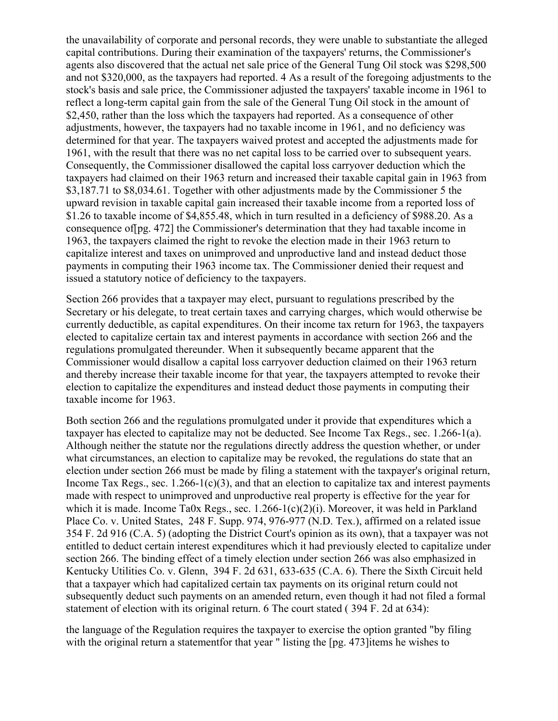the unavailability of corporate and personal records, they were unable to substantiate the alleged capital contributions. During their examination of the taxpayers' returns, the Commissioner's agents also discovered that the actual net sale price of the General Tung Oil stock was \$298,500 and not \$320,000, as the taxpayers had reported. 4 As a result of the foregoing adjustments to the stock's basis and sale price, the Commissioner adjusted the taxpayers' taxable income in 1961 to reflect a long-term capital gain from the sale of the General Tung Oil stock in the amount of \$2,450, rather than the loss which the taxpayers had reported. As a consequence of other adjustments, however, the taxpayers had no taxable income in 1961, and no deficiency was determined for that year. The taxpayers waived protest and accepted the adjustments made for 1961, with the result that there was no net capital loss to be carried over to subsequent years. Consequently, the Commissioner disallowed the capital loss carryover deduction which the taxpayers had claimed on their 1963 return and increased their taxable capital gain in 1963 from \$3,187.71 to \$8,034.61. Together with other adjustments made by the Commissioner 5 the upward revision in taxable capital gain increased their taxable income from a reported loss of \$1.26 to taxable income of \$4,855.48, which in turn resulted in a deficiency of \$988.20. As a consequence of[pg. 472] the Commissioner's determination that they had taxable income in 1963, the taxpayers claimed the right to revoke the election made in their 1963 return to capitalize interest and taxes on unimproved and unproductive land and instead deduct those payments in computing their 1963 income tax. The Commissioner denied their request and issued a statutory notice of deficiency to the taxpayers.

Section 266 provides that a taxpayer may elect, pursuant to regulations prescribed by the Secretary or his delegate, to treat certain taxes and carrying charges, which would otherwise be currently deductible, as capital expenditures. On their income tax return for 1963, the taxpayers elected to capitalize certain tax and interest payments in accordance with section 266 and the regulations promulgated thereunder. When it subsequently became apparent that the Commissioner would disallow a capital loss carryover deduction claimed on their 1963 return and thereby increase their taxable income for that year, the taxpayers attempted to revoke their election to capitalize the expenditures and instead deduct those payments in computing their taxable income for 1963.

Both section 266 and the regulations promulgated under it provide that expenditures which a taxpayer has elected to capitalize may not be deducted. See Income Tax Regs., sec. 1.266-1(a). Although neither the statute nor the regulations directly address the question whether, or under what circumstances, an election to capitalize may be revoked, the regulations do state that an election under section 266 must be made by filing a statement with the taxpayer's original return, Income Tax Regs., sec.  $1.266-1(c)(3)$ , and that an election to capitalize tax and interest payments made with respect to unimproved and unproductive real property is effective for the year for which it is made. Income Ta0x Regs., sec. 1.266-1(c)(2)(i). Moreover, it was held in Parkland Place Co. v. United States, 248 F. Supp. 974, 976-977 (N.D. Tex.), affirmed on a related issue 354 F. 2d 916 (C.A. 5) (adopting the District Court's opinion as its own), that a taxpayer was not entitled to deduct certain interest expenditures which it had previously elected to capitalize under section 266. The binding effect of a timely election under section 266 was also emphasized in Kentucky Utilities Co. v. Glenn, 394 F. 2d 631, 633-635 (C.A. 6). There the Sixth Circuit held that a taxpayer which had capitalized certain tax payments on its original return could not subsequently deduct such payments on an amended return, even though it had not filed a formal statement of election with its original return. 6 The court stated ( 394 F. 2d at 634):

the language of the Regulation requires the taxpayer to exercise the option granted "by filing with the original return a statement for that year " listing the [pg. 473] items he wishes to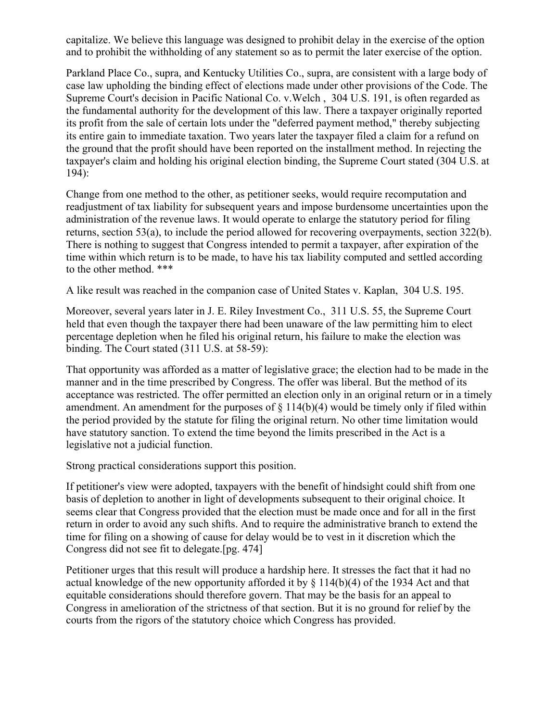capitalize. We believe this language was designed to prohibit delay in the exercise of the option and to prohibit the withholding of any statement so as to permit the later exercise of the option.

Parkland Place Co., supra, and Kentucky Utilities Co., supra, are consistent with a large body of case law upholding the binding effect of elections made under other provisions of the Code. The Supreme Court's decision in Pacific National Co. v.Welch , 304 U.S. 191, is often regarded as the fundamental authority for the development of this law. There a taxpayer originally reported its profit from the sale of certain lots under the "deferred payment method," thereby subjecting its entire gain to immediate taxation. Two years later the taxpayer filed a claim for a refund on the ground that the profit should have been reported on the installment method. In rejecting the taxpayer's claim and holding his original election binding, the Supreme Court stated (304 U.S. at 194):

Change from one method to the other, as petitioner seeks, would require recomputation and readjustment of tax liability for subsequent years and impose burdensome uncertainties upon the administration of the revenue laws. It would operate to enlarge the statutory period for filing returns, section 53(a), to include the period allowed for recovering overpayments, section 322(b). There is nothing to suggest that Congress intended to permit a taxpayer, after expiration of the time within which return is to be made, to have his tax liability computed and settled according to the other method. \*\*\*

A like result was reached in the companion case of United States v. Kaplan, 304 U.S. 195.

Moreover, several years later in J. E. Riley Investment Co., 311 U.S. 55, the Supreme Court held that even though the taxpayer there had been unaware of the law permitting him to elect percentage depletion when he filed his original return, his failure to make the election was binding. The Court stated (311 U.S. at 58-59):

That opportunity was afforded as a matter of legislative grace; the election had to be made in the manner and in the time prescribed by Congress. The offer was liberal. But the method of its acceptance was restricted. The offer permitted an election only in an original return or in a timely amendment. An amendment for the purposes of  $\S$  114(b)(4) would be timely only if filed within the period provided by the statute for filing the original return. No other time limitation would have statutory sanction. To extend the time beyond the limits prescribed in the Act is a legislative not a judicial function.

Strong practical considerations support this position.

If petitioner's view were adopted, taxpayers with the benefit of hindsight could shift from one basis of depletion to another in light of developments subsequent to their original choice. It seems clear that Congress provided that the election must be made once and for all in the first return in order to avoid any such shifts. And to require the administrative branch to extend the time for filing on a showing of cause for delay would be to vest in it discretion which the Congress did not see fit to delegate.[pg. 474]

Petitioner urges that this result will produce a hardship here. It stresses the fact that it had no actual knowledge of the new opportunity afforded it by § 114(b)(4) of the 1934 Act and that equitable considerations should therefore govern. That may be the basis for an appeal to Congress in amelioration of the strictness of that section. But it is no ground for relief by the courts from the rigors of the statutory choice which Congress has provided.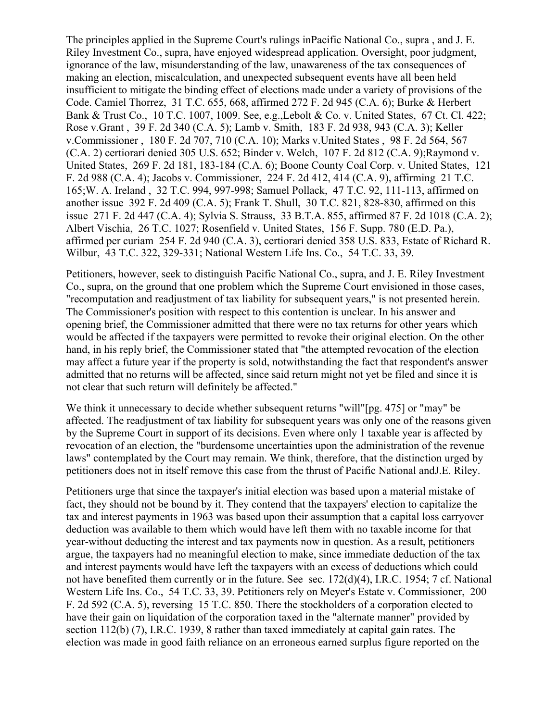The principles applied in the Supreme Court's rulings inPacific National Co., supra , and J. E. Riley Investment Co., supra, have enjoyed widespread application. Oversight, poor judgment, ignorance of the law, misunderstanding of the law, unawareness of the tax consequences of making an election, miscalculation, and unexpected subsequent events have all been held insufficient to mitigate the binding effect of elections made under a variety of provisions of the Code. Camiel Thorrez, 31 T.C. 655, 668, affirmed 272 F. 2d 945 (C.A. 6); Burke & Herbert Bank & Trust Co., 10 T.C. 1007, 1009. See, e.g.,Lebolt & Co. v. United States, 67 Ct. Cl. 422; Rose v.Grant , 39 F. 2d 340 (C.A. 5); Lamb v. Smith, 183 F. 2d 938, 943 (C.A. 3); Keller v.Commissioner , 180 F. 2d 707, 710 (C.A. 10); Marks v.United States , 98 F. 2d 564, 567 (C.A. 2) certiorari denied 305 U.S. 652; Binder v. Welch, 107 F. 2d 812 (C.A. 9);Raymond v. United States, 269 F. 2d 181, 183-184 (C.A. 6); Boone County Coal Corp. v. United States, 121 F. 2d 988 (C.A. 4); Jacobs v. Commissioner, 224 F. 2d 412, 414 (C.A. 9), affirming 21 T.C. 165;W. A. Ireland , 32 T.C. 994, 997-998; Samuel Pollack, 47 T.C. 92, 111-113, affirmed on another issue 392 F. 2d 409 (C.A. 5); Frank T. Shull, 30 T.C. 821, 828-830, affirmed on this issue 271 F. 2d 447 (C.A. 4); Sylvia S. Strauss, 33 B.T.A. 855, affirmed 87 F. 2d 1018 (C.A. 2); Albert Vischia, 26 T.C. 1027; Rosenfield v. United States, 156 F. Supp. 780 (E.D. Pa.), affirmed per curiam 254 F. 2d 940 (C.A. 3), certiorari denied 358 U.S. 833, Estate of Richard R. Wilbur, 43 T.C. 322, 329-331; National Western Life Ins. Co., 54 T.C. 33, 39.

Petitioners, however, seek to distinguish Pacific National Co., supra, and J. E. Riley Investment Co., supra, on the ground that one problem which the Supreme Court envisioned in those cases, "recomputation and readjustment of tax liability for subsequent years," is not presented herein. The Commissioner's position with respect to this contention is unclear. In his answer and opening brief, the Commissioner admitted that there were no tax returns for other years which would be affected if the taxpayers were permitted to revoke their original election. On the other hand, in his reply brief, the Commissioner stated that "the attempted revocation of the election may affect a future year if the property is sold, notwithstanding the fact that respondent's answer admitted that no returns will be affected, since said return might not yet be filed and since it is not clear that such return will definitely be affected."

We think it unnecessary to decide whether subsequent returns "will" [pg. 475] or "may" be affected. The readjustment of tax liability for subsequent years was only one of the reasons given by the Supreme Court in support of its decisions. Even where only 1 taxable year is affected by revocation of an election, the "burdensome uncertainties upon the administration of the revenue laws" contemplated by the Court may remain. We think, therefore, that the distinction urged by petitioners does not in itself remove this case from the thrust of Pacific National andJ.E. Riley.

Petitioners urge that since the taxpayer's initial election was based upon a material mistake of fact, they should not be bound by it. They contend that the taxpayers' election to capitalize the tax and interest payments in 1963 was based upon their assumption that a capital loss carryover deduction was available to them which would have left them with no taxable income for that year-without deducting the interest and tax payments now in question. As a result, petitioners argue, the taxpayers had no meaningful election to make, since immediate deduction of the tax and interest payments would have left the taxpayers with an excess of deductions which could not have benefited them currently or in the future. See sec. 172(d)(4), I.R.C. 1954; 7 cf. National Western Life Ins. Co., 54 T.C. 33, 39. Petitioners rely on Meyer's Estate v. Commissioner, 200 F. 2d 592 (C.A. 5), reversing 15 T.C. 850. There the stockholders of a corporation elected to have their gain on liquidation of the corporation taxed in the "alternate manner" provided by section 112(b) (7), I.R.C. 1939, 8 rather than taxed immediately at capital gain rates. The election was made in good faith reliance on an erroneous earned surplus figure reported on the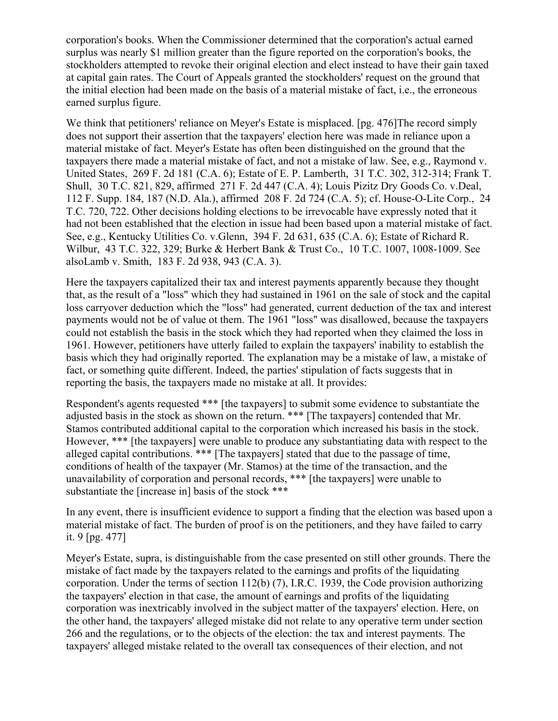corporation's books. When the Commissioner determined that the corporation's actual earned surplus was nearly \$1 million greater than the figure reported on the corporation's books, the stockholders attempted to revoke their original election and elect instead to have their gain taxed at capital gain rates. The Court of Appeals granted the stockholders' request on the ground that the initial election had been made on the basis of a material mistake of fact, i.e., the erroneous earned surplus figure.

We think that petitioners' reliance on Meyer's Estate is misplaced. [pg. 476]The record simply does not support their assertion that the taxpayers' election here was made in reliance upon a material mistake of fact. Meyer's Estate has often been distinguished on the ground that the taxpayers there made a material mistake of fact, and not a mistake of law. See, e.g., Raymond v. United States, 269 F. 2d 181 (C.A. 6); Estate of E. P. Lamberth, 31 T.C. 302, 312-314; Frank T. Shull, 30 T.C. 821, 829, affirmed 271 F. 2d 447 (C.A. 4); Louis Pizitz Dry Goods Co. v.Deal, 112 F. Supp. 184, 187 (N.D. Ala.), affirmed 208 F. 2d 724 (C.A. 5); cf. House-O-Lite Corp., 24 T.C. 720, 722. Other decisions holding elections to be irrevocable have expressly noted that it had not been established that the election in issue had been based upon a material mistake of fact. See, e.g., Kentucky Utilities Co. v.Glenn, 394 F. 2d 631, 635 (C.A. 6); Estate of Richard R. Wilbur, 43 T.C. 322, 329; Burke & Herbert Bank & Trust Co., 10 T.C. 1007, 1008-1009. See alsoLamb v. Smith, 183 F. 2d 938, 943 (C.A. 3).

Here the taxpayers capitalized their tax and interest payments apparently because they thought that, as the result of a "loss" which they had sustained in 1961 on the sale of stock and the capital loss carryover deduction which the "loss" had generated, current deduction of the tax and interest payments would not be of value ot them. The 1961 "loss" was disallowed, because the taxpayers could not establish the basis in the stock which they had reported when they claimed the loss in 1961. However, petitioners have utterly failed to explain the taxpayers' inability to establish the basis which they had originally reported. The explanation may be a mistake of law, a mistake of fact, or something quite different. Indeed, the parties' stipulation of facts suggests that in reporting the basis, the taxpayers made no mistake at all. It provides:

Respondent's agents requested \*\*\* [the taxpayers] to submit some evidence to substantiate the adjusted basis in the stock as shown on the return. \*\*\* [The taxpayers] contended that Mr. Stamos contributed additional capital to the corporation which increased his basis in the stock. However, \*\*\* [the taxpayers] were unable to produce any substantiating data with respect to the alleged capital contributions. \*\*\* [The taxpayers] stated that due to the passage of time, conditions of health of the taxpayer (Mr. Stamos) at the time of the transaction, and the unavailability of corporation and personal records, \*\*\* [the taxpayers] were unable to substantiate the [increase in] basis of the stock \*\*\*

In any event, there is insufficient evidence to support a finding that the election was based upon a material mistake of fact. The burden of proof is on the petitioners, and they have failed to carry it. 9 [pg. 477]

Meyer's Estate, supra, is distinguishable from the case presented on still other grounds. There the mistake of fact made by the taxpayers related to the earnings and profits of the liquidating corporation. Under the terms of section 112(b) (7), I.R.C. 1939, the Code provision authorizing the taxpayers' election in that case, the amount of earnings and profits of the liquidating corporation was inextricably involved in the subject matter of the taxpayers' election. Here, on the other hand, the taxpayers' alleged mistake did not relate to any operative term under section 266 and the regulations, or to the objects of the election: the tax and interest payments. The taxpayers' alleged mistake related to the overall tax consequences of their election, and not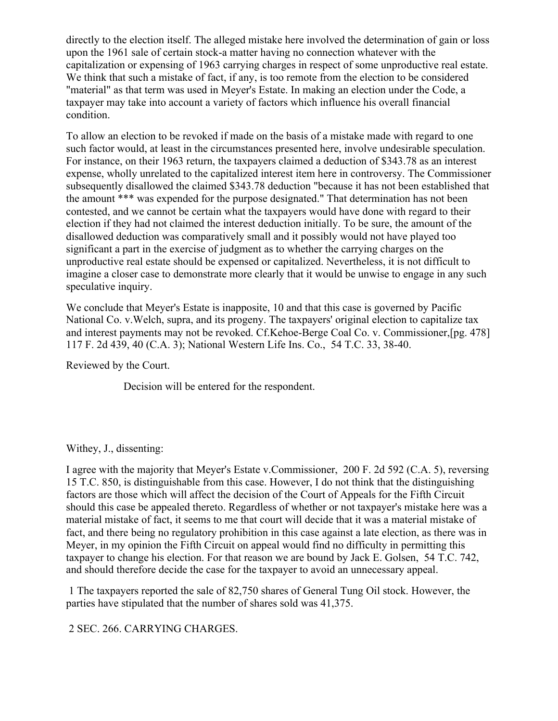directly to the election itself. The alleged mistake here involved the determination of gain or loss upon the 1961 sale of certain stock-a matter having no connection whatever with the capitalization or expensing of 1963 carrying charges in respect of some unproductive real estate. We think that such a mistake of fact, if any, is too remote from the election to be considered "material" as that term was used in Meyer's Estate. In making an election under the Code, a taxpayer may take into account a variety of factors which influence his overall financial condition.

To allow an election to be revoked if made on the basis of a mistake made with regard to one such factor would, at least in the circumstances presented here, involve undesirable speculation. For instance, on their 1963 return, the taxpayers claimed a deduction of \$343.78 as an interest expense, wholly unrelated to the capitalized interest item here in controversy. The Commissioner subsequently disallowed the claimed \$343.78 deduction "because it has not been established that the amount \*\*\* was expended for the purpose designated." That determination has not been contested, and we cannot be certain what the taxpayers would have done with regard to their election if they had not claimed the interest deduction initially. To be sure, the amount of the disallowed deduction was comparatively small and it possibly would not have played too significant a part in the exercise of judgment as to whether the carrying charges on the unproductive real estate should be expensed or capitalized. Nevertheless, it is not difficult to imagine a closer case to demonstrate more clearly that it would be unwise to engage in any such speculative inquiry.

We conclude that Meyer's Estate is inapposite, 10 and that this case is governed by Pacific National Co. v.Welch, supra, and its progeny. The taxpayers' original election to capitalize tax and interest payments may not be revoked. Cf.Kehoe-Berge Coal Co. v. Commissioner,[pg. 478] 117 F. 2d 439, 40 (C.A. 3); National Western Life Ins. Co., 54 T.C. 33, 38-40.

Reviewed by the Court.

Decision will be entered for the respondent.

## Withey, J., dissenting:

I agree with the majority that Meyer's Estate v.Commissioner, 200 F. 2d 592 (C.A. 5), reversing 15 T.C. 850, is distinguishable from this case. However, I do not think that the distinguishing factors are those which will affect the decision of the Court of Appeals for the Fifth Circuit should this case be appealed thereto. Regardless of whether or not taxpayer's mistake here was a material mistake of fact, it seems to me that court will decide that it was a material mistake of fact, and there being no regulatory prohibition in this case against a late election, as there was in Meyer, in my opinion the Fifth Circuit on appeal would find no difficulty in permitting this taxpayer to change his election. For that reason we are bound by Jack E. Golsen, 54 T.C. 742, and should therefore decide the case for the taxpayer to avoid an unnecessary appeal.

1 The taxpayers reported the sale of 82,750 shares of General Tung Oil stock. However, the parties have stipulated that the number of shares sold was 41,375.

2 SEC. 266. CARRYING CHARGES.